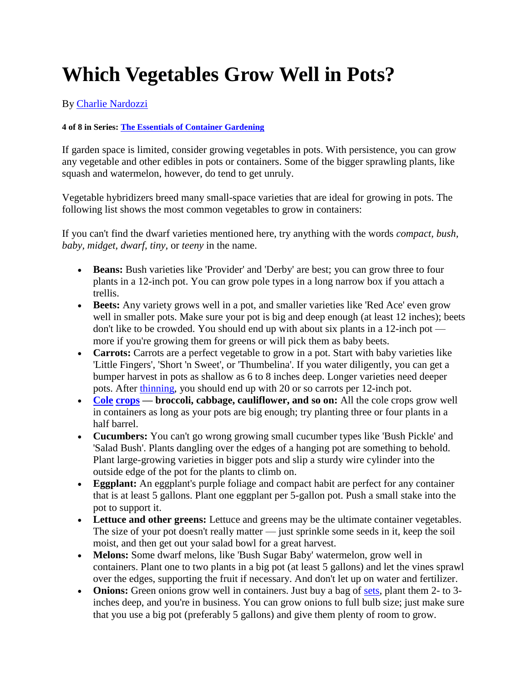## **Which Vegetables Grow Well in Pots?**

By [Charlie Nardozzi](http://www.dummies.com/search.html?query=Charlie+Nardozzi)

## **4 of 8 in Series: [The Essentials of Container Gardening](http://www.dummies.com/how-to/content/the-essentials-of-container-gardening.html)**

If garden space is limited, consider growing vegetables in pots. With persistence, you can grow any vegetable and other edibles in pots or containers. Some of the bigger sprawling plants, like squash and watermelon, however, do tend to get unruly.

Vegetable hybridizers breed many small-space varieties that are ideal for growing in pots. The following list shows the most common vegetables to grow in containers:

If you can't find the dwarf varieties mentioned here, try anything with the words *compact, bush, baby, midget, dwarf, tiny,* or *teeny* in the name.

- **Beans:** Bush varieties like 'Provider' and 'Derby' are best; you can grow three to four plants in a 12-inch pot. You can grow pole types in a long narrow box if you attach a trellis.
- **Beets:** Any variety grows well in a pot, and smaller varieties like 'Red Ace' even grow well in smaller pots. Make sure your pot is big and deep enough (at least 12 inches); beets don't like to be crowded. You should end up with about six plants in a 12-inch pot more if you're growing them for greens or will pick them as baby beets.
- **Carrots:** Carrots are a perfect vegetable to grow in a pot. Start with baby varieties like 'Little Fingers', 'Short 'n Sweet', or 'Thumbelina'. If you water diligently, you can get a bumper harvest in pots as shallow as 6 to 8 inches deep. Longer varieties need deeper pots. After [thinning,](file:///C:\Documents%20and%20Settings\betty\Local%20Settings\Temporary%20Internet%20Files\Content.Outlook\UOSRVTT1\which-vegetables-grow-well-in-pots.html%23glossary-thinning) you should end up with 20 or so carrots per 12-inch pot.
- **[Cole](file:///C:\Documents%20and%20Settings\betty\Local%20Settings\Temporary%20Internet%20Files\Content.Outlook\UOSRVTT1\which-vegetables-grow-well-in-pots.html%23glossary-cole_crops) [crops](file:///C:\Documents%20and%20Settings\betty\Local%20Settings\Temporary%20Internet%20Files\Content.Outlook\UOSRVTT1\which-vegetables-grow-well-in-pots.html%23glossary-cole_crops) broccoli, cabbage, cauliflower, and so on:** All the cole crops grow well in containers as long as your pots are big enough; try planting three or four plants in a half barrel.
- **Cucumbers:** You can't go wrong growing small cucumber types like 'Bush Pickle' and 'Salad Bush'. Plants dangling over the edges of a hanging pot are something to behold. Plant large-growing varieties in bigger pots and slip a sturdy wire cylinder into the outside edge of the pot for the plants to climb on.
- **Eggplant:** An eggplant's purple foliage and compact habit are perfect for any container that is at least 5 gallons. Plant one eggplant per 5-gallon pot. Push a small stake into the pot to support it.
- **Lettuce and other greens:** Lettuce and greens may be the ultimate container vegetables. The size of your pot doesn't really matter — just sprinkle some seeds in it, keep the soil moist, and then get out your salad bowl for a great harvest.
- **Melons:** Some dwarf melons, like 'Bush Sugar Baby' watermelon, grow well in containers. Plant one to two plants in a big pot (at least 5 gallons) and let the vines sprawl over the edges, supporting the fruit if necessary. And don't let up on water and fertilizer.
- **Onions:** Green onions grow well in containers. Just buy a bag of [sets,](file:///C:\Documents%20and%20Settings\betty\Local%20Settings\Temporary%20Internet%20Files\Content.Outlook\UOSRVTT1\which-vegetables-grow-well-in-pots.html%23glossary-sets) plant them 2- to 3inches deep, and you're in business. You can grow onions to full bulb size; just make sure that you use a big pot (preferably 5 gallons) and give them plenty of room to grow.